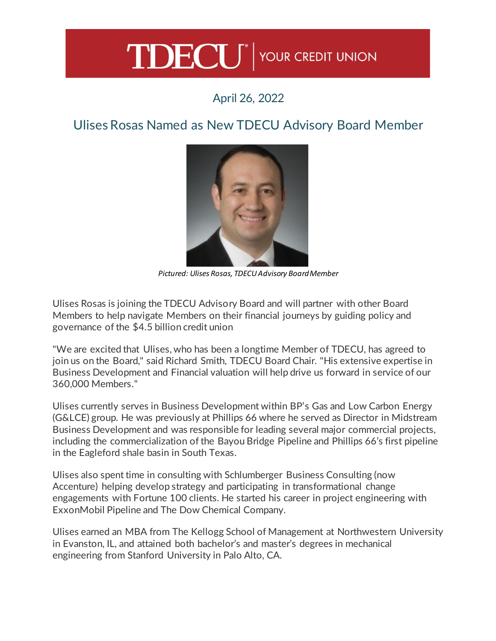## TDECU<sup>®</sup> YOUR CREDIT UNION

## April 26, 2022

## Ulises Rosas Named as New TDECU Advisory Board Member



*Pictured: Ulises Rosas, TDECU Advisory Board Member*

Ulises Rosas is joining the TDECU Advisory Board and will partner with other Board Members to help navigate Members on their financial journeys by guiding policy and governance of the \$4.5 billion credit union

"We are excited that Ulises, who has been a longtime Member of TDECU, has agreed to join us on the Board," said Richard Smith, TDECU Board Chair. "His extensive expertise in Business Development and Financial valuation will help drive us forward in service of our 360,000 Members."

Ulises currently serves in Business Development within BP's Gas and Low Carbon Energy (G&LCE) group. He was previously at Phillips 66 where he served as Director in Midstream Business Development and was responsible for leading several major commercial projects, including the commercialization of the Bayou Bridge Pipeline and Phillips 66's first pipeline in the Eagleford shale basin in South Texas.

Ulises also spent time in consulting with Schlumberger Business Consulting (now Accenture) helping develop strategy and participating in transformational change engagements with Fortune 100 clients. He started his career in project engineering with ExxonMobil Pipeline and The Dow Chemical Company.

Ulises earned an MBA from The Kellogg School of Management at Northwestern University in Evanston, IL, and attained both bachelor's and master's degrees in mechanical engineering from Stanford University in Palo Alto, CA.